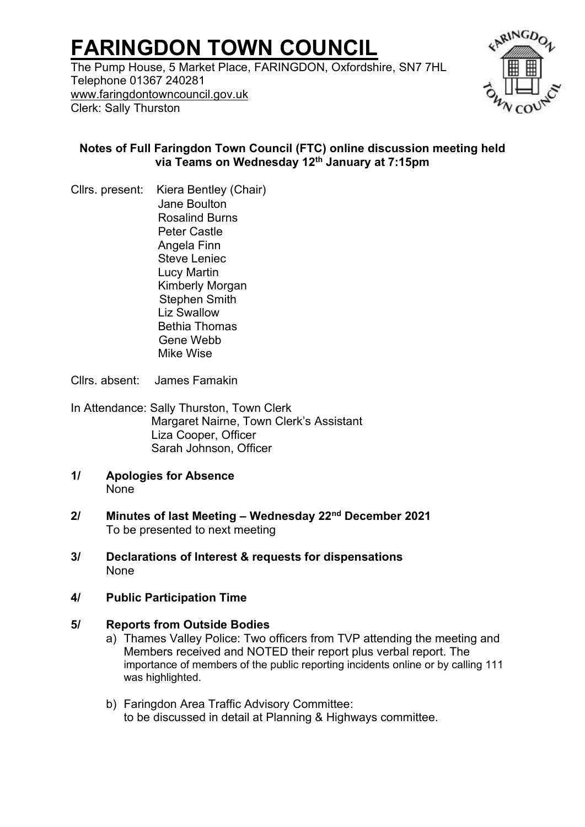# **FARINGDON TOWN COUNCIL**

The Pump House, 5 Market Place, FARINGDON, Oxfordshire, SN7 7HL Telephone 01367 240281 [www.faringdontowncouncil.gov.uk](http://www.faringdontowncouncil.gov.uk/) Clerk: Sally Thurston



# **Notes of Full Faringdon Town Council (FTC) online discussion meeting held via Teams on Wednesday 12th January at 7:15pm**

Cllrs. present: Kiera Bentley (Chair) Jane Boulton Rosalind Burns Peter Castle Angela Finn Steve Leniec Lucy Martin Kimberly Morgan Stephen Smith Liz Swallow Bethia Thomas Gene Webb Mike Wise

Cllrs. absent: James Famakin

In Attendance: Sally Thurston, Town Clerk Margaret Nairne, Town Clerk's Assistant Liza Cooper, Officer Sarah Johnson, Officer

- **1/ Apologies for Absence** None
- **2/ Minutes of last Meeting – Wednesday 22nd December 2021** To be presented to next meeting
- **3/ Declarations of Interest & requests for dispensations**  None
- **4/ Public Participation Time**

### **5/ Reports from Outside Bodies**

- a) Thames Valley Police: Two officers from TVP attending the meeting and Members received and NOTED their report plus verbal report. The importance of members of the public reporting incidents online or by calling 111 was highlighted.
- b) Faringdon Area Traffic Advisory Committee: to be discussed in detail at Planning & Highways committee.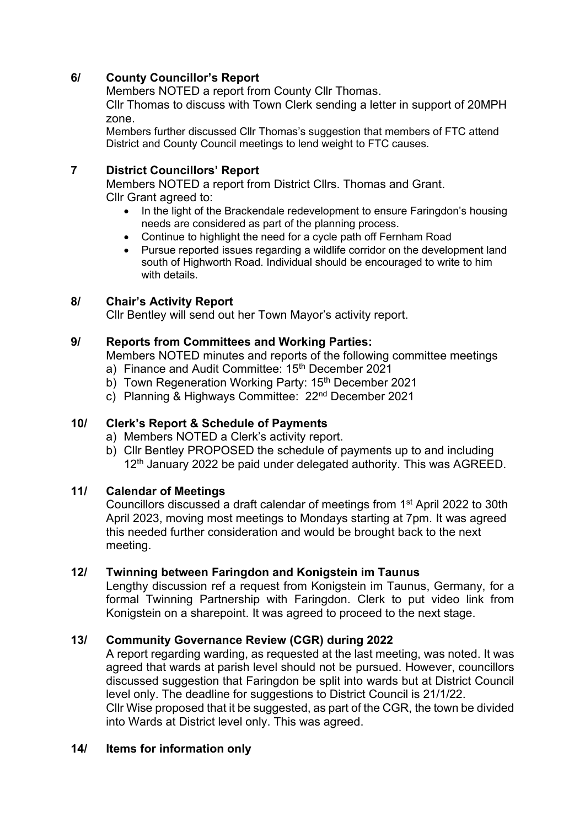# **6/ County Councillor's Report**

Members NOTED a report from County Cllr Thomas.

Cllr Thomas to discuss with Town Clerk sending a letter in support of 20MPH zone.

Members further discussed Cllr Thomas's suggestion that members of FTC attend District and County Council meetings to lend weight to FTC causes.

# **7 District Councillors' Report**

Members NOTED a report from District Cllrs. Thomas and Grant. Cllr Grant agreed to:

- In the light of the Brackendale redevelopment to ensure Faringdon's housing needs are considered as part of the planning process.
- Continue to highlight the need for a cycle path off Fernham Road
- Pursue reported issues regarding a wildlife corridor on the development land south of Highworth Road. Individual should be encouraged to write to him with details.

# **8/ Chair's Activity Report**

Cllr Bentley will send out her Town Mayor's activity report.

# **9/ Reports from Committees and Working Parties:**

Members NOTED minutes and reports of the following committee meetings

- a) Finance and Audit Committee: 15<sup>th</sup> December 2021
- b) Town Regeneration Working Party: 15<sup>th</sup> December 2021
- c) Planning & Highways Committee: 22nd December 2021

### **10/ Clerk's Report & Schedule of Payments**

- a) Members NOTED a Clerk's activity report.
- b) Cllr Bentley PROPOSED the schedule of payments up to and including  $12<sup>th</sup>$  January 2022 be paid under delegated authority. This was AGREED.

### **11/ Calendar of Meetings**

Councillors discussed a draft calendar of meetings from 1st April 2022 to 30th April 2023, moving most meetings to Mondays starting at 7pm. It was agreed this needed further consideration and would be brought back to the next meeting.

### **12/ Twinning between Faringdon and Konigstein im Taunus**

Lengthy discussion ref a request from Konigstein im Taunus, Germany, for a formal Twinning Partnership with Faringdon. Clerk to put video link from Konigstein on a sharepoint. It was agreed to proceed to the next stage.

### **13/ Community Governance Review (CGR) during 2022**

A report regarding warding, as requested at the last meeting, was noted. It was agreed that wards at parish level should not be pursued. However, councillors discussed suggestion that Faringdon be split into wards but at District Council level only. The deadline for suggestions to District Council is 21/1/22. Cllr Wise proposed that it be suggested, as part of the CGR, the town be divided into Wards at District level only. This was agreed.

### **14/ Items for information only**